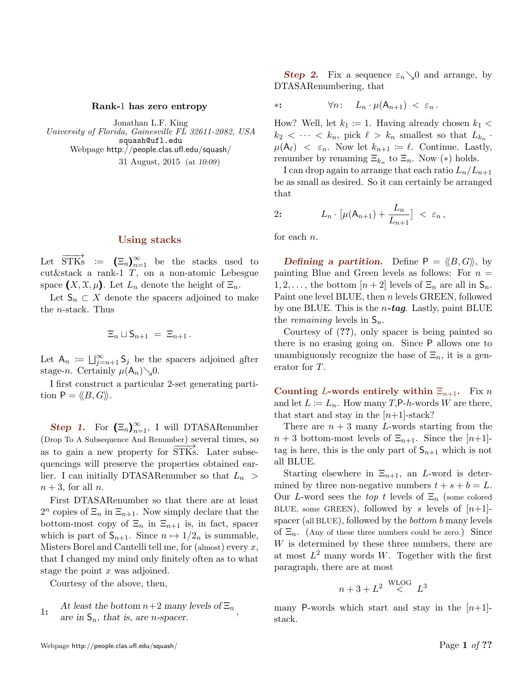## Rank-1 has zero entropy

Jonathan L.F. King University of Florida, Gainesville FL 32611-2082, USA squash@ufl.edu Webpage http://people.clas.ufl.edu/squash/ 31 August, 2015 (at 10:09)

## Using stacks

Let  $\overrightarrow{STKs}$  :=  $(\Xi_n)_{n=1}^{\infty}$  be the stacks used to cut&stack a rank-1 T, on a non-atomic Lebesgue space  $(X, \mathfrak{X}, \mu)$ . Let  $L_n$  denote the height of  $\Xi_n$ .

Let  $\mathsf{S}_n \subset X$  denote the spacers adjoined to make the n-stack. Thus

$$
\Xi_n \sqcup \mathsf{S}_{n+1} \ = \ \Xi_{n+1} \, .
$$

Let  $A_n := \bigcup_{j=n+1}^{\infty} S_j$  be the spacers adjoined after stage-n. Certainly  $\mu(A_n)\searrow0$ .

I first construct a particular 2-set generating partition  $P = \langle \langle B, G \rangle \rangle$ .

**Step 1.** For  $(\Xi_n)_{n=1}^{\infty}$ , I will DTASARenumber (Drop To A Subsequence And Renumber) several times, so as to gain a new property for STKs. Later subsequencings will preserve the properties obtained earlier. I can initially DTASARenumber so that  $L_n >$  $n + 3$ , for all n.

First DTASARenumber so that there are at least  $2^n$  copies of  $\Xi_n$  in  $\Xi_{n+1}$ . Now simply declare that the bottom-most copy of  $\Xi_n$  in  $\Xi_{n+1}$  is, in fact, spacer which is part of  $S_{n+1}$ . Since  $n \mapsto 1/2_n$  is summable, Misters Borel and Cantelli tell me, for  $(\text{almost})$  every x, that I changed my mind only finitely often as to what stage the point  $x$  was adjoined.

Courtesy of the above, then,

1: At least the bottom 
$$
n+2
$$
 many levels of  $\Xi_n$ ,  
are in  $\mathsf{S}_n$ , that is, are *n*-space.

**Step 2.** Fix a sequence  $\varepsilon_n \searrow 0$  and arrange, by DTASARenumbering, that

$$
**: \t\t \forall n: L_n \cdot \mu(A_{n+1}) < \varepsilon_n.
$$

How? Well, let  $k_1 := 1$ . Having already chosen  $k_1$  <  $k_2 < \cdots < k_n$ , pick  $\ell > k_n$  smallest so that  $L_{k_n}$ .  $\mu(A_{\ell}) \leq \varepsilon_n$ . Now let  $k_{n+1} := \ell$ . Continue. Lastly, renumber by renaming  $\Xi_{k_n}$  to  $\Xi_n$ . Now  $(*)$  holds.

I can drop again to arrange that each ratio  $L_n/L_{n+1}$ be as small as desired. So it can certainly be arranged that

$$
2: \qquad L_n \cdot \left[ \mu(\mathsf{A}_{n+1}) + \frac{L_n}{L_{n+1}} \right] \; < \; \varepsilon_n \,,
$$

for each n.

**Defining a partition.** Define  $P = \langle \langle B, G \rangle \rangle$ , by painting Blue and Green levels as follows: For  $n =$  $1, 2, \ldots$ , the bottom  $[n+2]$  levels of  $\Xi_n$  are all in  $\mathsf{S}_n$ . Paint one level BLUE, then n levels GREEN, followed by one BLUE. This is the  $n$ -tag. Lastly, paint BLUE the *remaining* levels in  $S_n$ .

Courtesy of (??), only spacer is being painted so there is no erasing going on. Since P allows one to unambiguously recognize the base of  $\Xi_n$ , it is a generator for T.

Counting L-words entirely within  $\Xi_{n+1}$ . Fix n and let  $L := L_n$ . How many T,P-h-words W are there, that start and stay in the  $[n+1]$ -stack?

There are  $n + 3$  many L-words starting from the  $n+3$  bottom-most levels of  $\Xi_{n+1}$ . Since the  $[n+1]$ tag is here, this is the only part of  $S_{n+1}$  which is not all BLUE.

Starting elsewhere in  $\Xi_{n+1}$ , an L-word is determined by three non-negative numbers  $t + s + b = L$ . Our L-word sees the top t levels of  $\Xi_n$  (some colored BLUE, some GREEN), followed by s levels of  $[n+1]$ spacer (all BLUE), followed by the bottom b many levels of  $\Xi_n$ . (Any of these three numbers could be zero.) Since  $W$  is determined by these three numbers, there are at most  $L^2$  many words W. Together with the first paragraph, there are at most

$$
n+3+L^2 \overset{\text{WLOG}}{<} L^3
$$

many P-words which start and stay in the  $[n+1]$ stack.